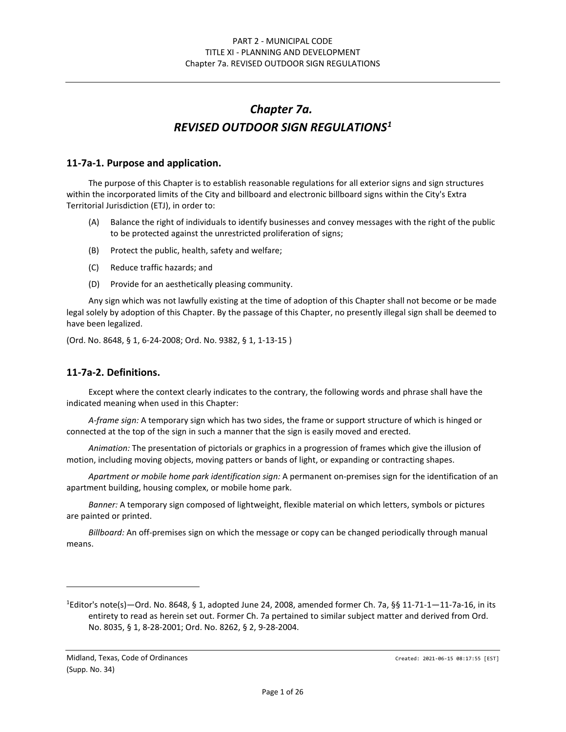# *Chapter 7a. REVISED OUTDOOR SIGN REGULATIONS[1](#page-0-0)*

#### **11-7a-1. Purpose and application.**

The purpose of this Chapter is to establish reasonable regulations for all exterior signs and sign structures within the incorporated limits of the City and billboard and electronic billboard signs within the City's Extra Territorial Jurisdiction (ETJ), in order to:

- (A) Balance the right of individuals to identify businesses and convey messages with the right of the public to be protected against the unrestricted proliferation of signs;
- (B) Protect the public, health, safety and welfare;
- (C) Reduce traffic hazards; and
- (D) Provide for an aesthetically pleasing community.

Any sign which was not lawfully existing at the time of adoption of this Chapter shall not become or be made legal solely by adoption of this Chapter. By the passage of this Chapter, no presently illegal sign shall be deemed to have been legalized.

(Ord. No. 8648, § 1, 6-24-2008; Ord. No. 9382, § 1, 1-13-15 )

#### **11-7a-2. Definitions.**

Except where the context clearly indicates to the contrary, the following words and phrase shall have the indicated meaning when used in this Chapter:

*A-frame sign:* A temporary sign which has two sides, the frame or support structure of which is hinged or connected at the top of the sign in such a manner that the sign is easily moved and erected.

*Animation:* The presentation of pictorials or graphics in a progression of frames which give the illusion of motion, including moving objects, moving patters or bands of light, or expanding or contracting shapes.

*Apartment or mobile home park identification sign:* A permanent on-premises sign for the identification of an apartment building, housing complex, or mobile home park.

*Banner:* A temporary sign composed of lightweight, flexible material on which letters, symbols or pictures are painted or printed.

*Billboard:* An off-premises sign on which the message or copy can be changed periodically through manual means.

<span id="page-0-0"></span><sup>1</sup> Editor's note(s)—Ord. No. 8648, § 1, adopted June 24, 2008, amended former Ch. 7a, §§ 11-71-1—11-7a-16, in its entirety to read as herein set out. Former Ch. 7a pertained to similar subject matter and derived from Ord. No. 8035, § 1, 8-28-2001; Ord. No. 8262, § 2, 9-28-2004.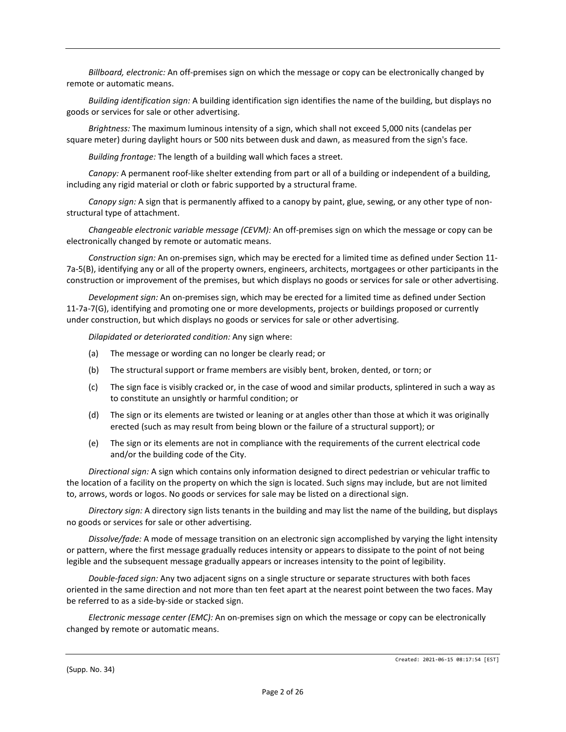*Billboard, electronic:* An off-premises sign on which the message or copy can be electronically changed by remote or automatic means.

*Building identification sign:* A building identification sign identifies the name of the building, but displays no goods or services for sale or other advertising.

*Brightness:* The maximum luminous intensity of a sign, which shall not exceed 5,000 nits (candelas per square meter) during daylight hours or 500 nits between dusk and dawn, as measured from the sign's face.

*Building frontage:* The length of a building wall which faces a street.

*Canopy:* A permanent roof-like shelter extending from part or all of a building or independent of a building, including any rigid material or cloth or fabric supported by a structural frame.

*Canopy sign:* A sign that is permanently affixed to a canopy by paint, glue, sewing, or any other type of nonstructural type of attachment.

*Changeable electronic variable message (CEVM):* An off-premises sign on which the message or copy can be electronically changed by remote or automatic means.

*Construction sign:* An on-premises sign, which may be erected for a limited time as defined under Section 11- 7a-5(B), identifying any or all of the property owners, engineers, architects, mortgagees or other participants in the construction or improvement of the premises, but which displays no goods or services for sale or other advertising.

*Development sign:* An on-premises sign, which may be erected for a limited time as defined under Section 11-7a-7(G), identifying and promoting one or more developments, projects or buildings proposed or currently under construction, but which displays no goods or services for sale or other advertising.

*Dilapidated or deteriorated condition:* Any sign where:

- (a) The message or wording can no longer be clearly read; or
- (b) The structural support or frame members are visibly bent, broken, dented, or torn; or
- (c) The sign face is visibly cracked or, in the case of wood and similar products, splintered in such a way as to constitute an unsightly or harmful condition; or
- (d) The sign or its elements are twisted or leaning or at angles other than those at which it was originally erected (such as may result from being blown or the failure of a structural support); or
- (e) The sign or its elements are not in compliance with the requirements of the current electrical code and/or the building code of the City.

*Directional sign:* A sign which contains only information designed to direct pedestrian or vehicular traffic to the location of a facility on the property on which the sign is located. Such signs may include, but are not limited to, arrows, words or logos. No goods or services for sale may be listed on a directional sign.

*Directory sign:* A directory sign lists tenants in the building and may list the name of the building, but displays no goods or services for sale or other advertising.

*Dissolve/fade:* A mode of message transition on an electronic sign accomplished by varying the light intensity or pattern, where the first message gradually reduces intensity or appears to dissipate to the point of not being legible and the subsequent message gradually appears or increases intensity to the point of legibility.

*Double-faced sign:* Any two adjacent signs on a single structure or separate structures with both faces oriented in the same direction and not more than ten feet apart at the nearest point between the two faces. May be referred to as a side-by-side or stacked sign.

*Electronic message center (EMC):* An on-premises sign on which the message or copy can be electronically changed by remote or automatic means.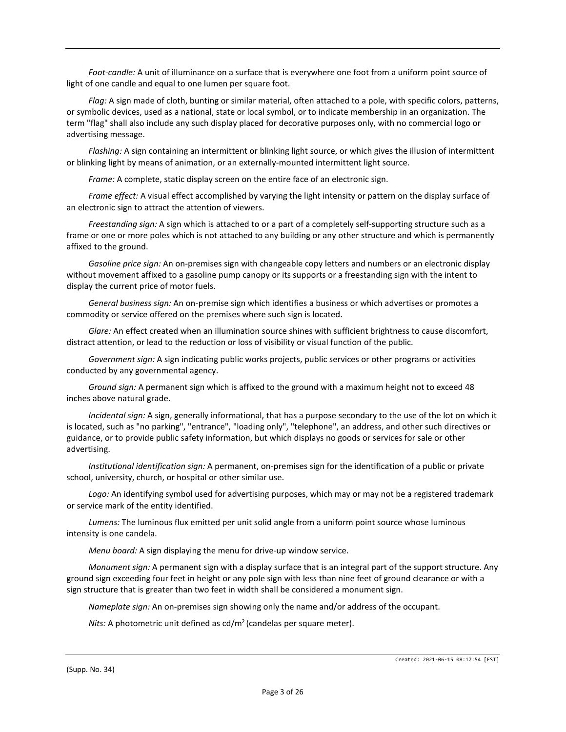*Foot-candle:* A unit of illuminance on a surface that is everywhere one foot from a uniform point source of light of one candle and equal to one lumen per square foot.

*Flag:* A sign made of cloth, bunting or similar material, often attached to a pole, with specific colors, patterns, or symbolic devices, used as a national, state or local symbol, or to indicate membership in an organization. The term "flag" shall also include any such display placed for decorative purposes only, with no commercial logo or advertising message.

*Flashing:* A sign containing an intermittent or blinking light source, or which gives the illusion of intermittent or blinking light by means of animation, or an externally-mounted intermittent light source.

*Frame:* A complete, static display screen on the entire face of an electronic sign.

*Frame effect:* A visual effect accomplished by varying the light intensity or pattern on the display surface of an electronic sign to attract the attention of viewers.

*Freestanding sign:* A sign which is attached to or a part of a completely self-supporting structure such as a frame or one or more poles which is not attached to any building or any other structure and which is permanently affixed to the ground.

*Gasoline price sign:* An on-premises sign with changeable copy letters and numbers or an electronic display without movement affixed to a gasoline pump canopy or its supports or a freestanding sign with the intent to display the current price of motor fuels.

*General business sign:* An on-premise sign which identifies a business or which advertises or promotes a commodity or service offered on the premises where such sign is located.

*Glare:* An effect created when an illumination source shines with sufficient brightness to cause discomfort, distract attention, or lead to the reduction or loss of visibility or visual function of the public.

*Government sign:* A sign indicating public works projects, public services or other programs or activities conducted by any governmental agency.

*Ground sign:* A permanent sign which is affixed to the ground with a maximum height not to exceed 48 inches above natural grade.

*Incidental sign:* A sign, generally informational, that has a purpose secondary to the use of the lot on which it is located, such as "no parking", "entrance", "loading only", "telephone", an address, and other such directives or guidance, or to provide public safety information, but which displays no goods or services for sale or other advertising.

*Institutional identification sign:* A permanent, on-premises sign for the identification of a public or private school, university, church, or hospital or other similar use.

*Logo:* An identifying symbol used for advertising purposes, which may or may not be a registered trademark or service mark of the entity identified.

*Lumens:* The luminous flux emitted per unit solid angle from a uniform point source whose luminous intensity is one candela.

*Menu board:* A sign displaying the menu for drive-up window service.

*Monument sign:* A permanent sign with a display surface that is an integral part of the support structure. Any ground sign exceeding four feet in height or any pole sign with less than nine feet of ground clearance or with a sign structure that is greater than two feet in width shall be considered a monument sign.

*Nameplate sign:* An on-premises sign showing only the name and/or address of the occupant.

*Nits:* A photometric unit defined as  $\frac{cd}{m^2}$  (candelas per square meter).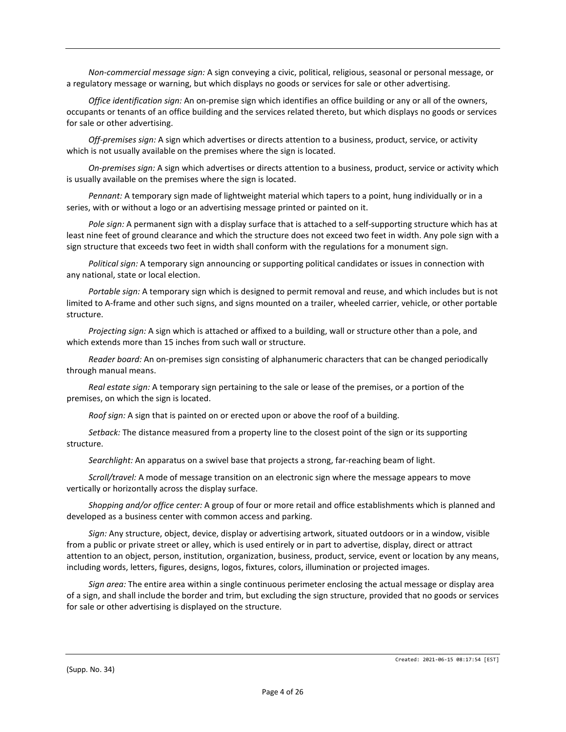*Non-commercial message sign:* A sign conveying a civic, political, religious, seasonal or personal message, or a regulatory message or warning, but which displays no goods or services for sale or other advertising.

*Office identification sign:* An on-premise sign which identifies an office building or any or all of the owners, occupants or tenants of an office building and the services related thereto, but which displays no goods or services for sale or other advertising.

*Off-premises sign:* A sign which advertises or directs attention to a business, product, service, or activity which is not usually available on the premises where the sign is located.

*On-premises sign:* A sign which advertises or directs attention to a business, product, service or activity which is usually available on the premises where the sign is located.

*Pennant:* A temporary sign made of lightweight material which tapers to a point, hung individually or in a series, with or without a logo or an advertising message printed or painted on it.

*Pole sign:* A permanent sign with a display surface that is attached to a self-supporting structure which has at least nine feet of ground clearance and which the structure does not exceed two feet in width. Any pole sign with a sign structure that exceeds two feet in width shall conform with the regulations for a monument sign.

*Political sign:* A temporary sign announcing or supporting political candidates or issues in connection with any national, state or local election.

*Portable sign:* A temporary sign which is designed to permit removal and reuse, and which includes but is not limited to A-frame and other such signs, and signs mounted on a trailer, wheeled carrier, vehicle, or other portable structure.

*Projecting sign:* A sign which is attached or affixed to a building, wall or structure other than a pole, and which extends more than 15 inches from such wall or structure.

*Reader board:* An on-premises sign consisting of alphanumeric characters that can be changed periodically through manual means.

*Real estate sign:* A temporary sign pertaining to the sale or lease of the premises, or a portion of the premises, on which the sign is located.

*Roof sign:* A sign that is painted on or erected upon or above the roof of a building.

*Setback:* The distance measured from a property line to the closest point of the sign or its supporting structure.

*Searchlight:* An apparatus on a swivel base that projects a strong, far-reaching beam of light.

*Scroll/travel:* A mode of message transition on an electronic sign where the message appears to move vertically or horizontally across the display surface.

*Shopping and/or office center:* A group of four or more retail and office establishments which is planned and developed as a business center with common access and parking.

*Sign:* Any structure, object, device, display or advertising artwork, situated outdoors or in a window, visible from a public or private street or alley, which is used entirely or in part to advertise, display, direct or attract attention to an object, person, institution, organization, business, product, service, event or location by any means, including words, letters, figures, designs, logos, fixtures, colors, illumination or projected images.

*Sign area:* The entire area within a single continuous perimeter enclosing the actual message or display area of a sign, and shall include the border and trim, but excluding the sign structure, provided that no goods or services for sale or other advertising is displayed on the structure.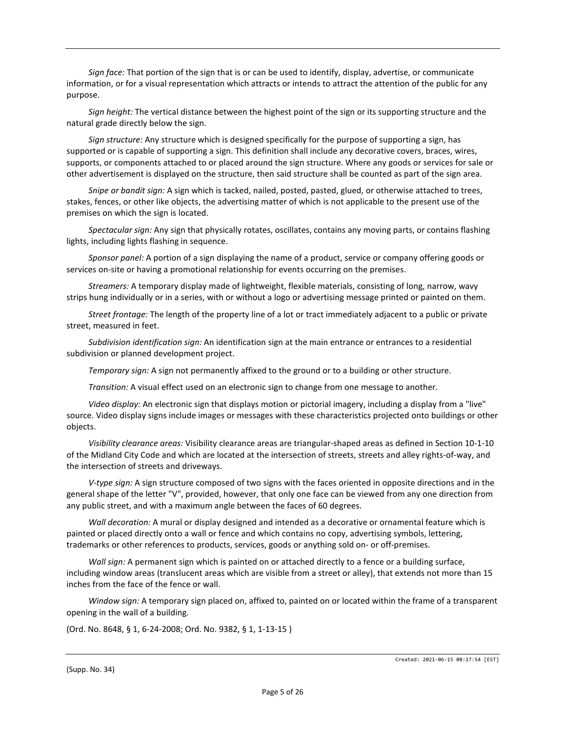*Sign face:* That portion of the sign that is or can be used to identify, display, advertise, or communicate information, or for a visual representation which attracts or intends to attract the attention of the public for any purpose.

*Sign height:* The vertical distance between the highest point of the sign or its supporting structure and the natural grade directly below the sign.

*Sign structure:* Any structure which is designed specifically for the purpose of supporting a sign, has supported or is capable of supporting a sign. This definition shall include any decorative covers, braces, wires, supports, or components attached to or placed around the sign structure. Where any goods or services for sale or other advertisement is displayed on the structure, then said structure shall be counted as part of the sign area.

*Snipe or bandit sign:* A sign which is tacked, nailed, posted, pasted, glued, or otherwise attached to trees, stakes, fences, or other like objects, the advertising matter of which is not applicable to the present use of the premises on which the sign is located.

*Spectacular sign:* Any sign that physically rotates, oscillates, contains any moving parts, or contains flashing lights, including lights flashing in sequence.

*Sponsor panel:* A portion of a sign displaying the name of a product, service or company offering goods or services on-site or having a promotional relationship for events occurring on the premises.

*Streamers:* A temporary display made of lightweight, flexible materials, consisting of long, narrow, wavy strips hung individually or in a series, with or without a logo or advertising message printed or painted on them.

*Street frontage:* The length of the property line of a lot or tract immediately adjacent to a public or private street, measured in feet.

*Subdivision identification sign:* An identification sign at the main entrance or entrances to a residential subdivision or planned development project.

*Temporary sign:* A sign not permanently affixed to the ground or to a building or other structure.

*Transition:* A visual effect used on an electronic sign to change from one message to another.

*Video display:* An electronic sign that displays motion or pictorial imagery, including a display from a "live" source. Video display signs include images or messages with these characteristics projected onto buildings or other objects.

*Visibility clearance areas:* Visibility clearance areas are triangular-shaped areas as defined in Section 10-1-10 of the Midland City Code and which are located at the intersection of streets, streets and alley rights-of-way, and the intersection of streets and driveways.

*V-type sign:* A sign structure composed of two signs with the faces oriented in opposite directions and in the general shape of the letter "V", provided, however, that only one face can be viewed from any one direction from any public street, and with a maximum angle between the faces of 60 degrees.

*Wall decoration:* A mural or display designed and intended as a decorative or ornamental feature which is painted or placed directly onto a wall or fence and which contains no copy, advertising symbols, lettering, trademarks or other references to products, services, goods or anything sold on- or off-premises.

*Wall sign:* A permanent sign which is painted on or attached directly to a fence or a building surface, including window areas (translucent areas which are visible from a street or alley), that extends not more than 15 inches from the face of the fence or wall.

*Window sign:* A temporary sign placed on, affixed to, painted on or located within the frame of a transparent opening in the wall of a building.

(Ord. No. 8648, § 1, 6-24-2008; Ord. No. 9382, § 1, 1-13-15 )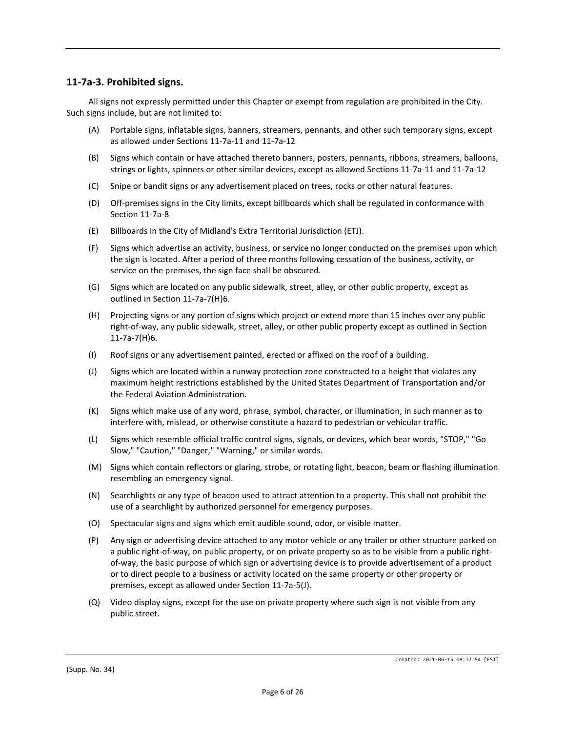## **11-7a-3. Prohibited signs.**

All signs not expressly permitted under this Chapter or exempt from regulation are prohibited in the City. Such signs include, but are not limited to:

- (A) Portable signs, inflatable signs, banners, streamers, pennants, and other such temporary signs, except as allowed under Sections 11-7a-11 and 11-7a-12
- (B) Signs which contain or have attached thereto banners, posters, pennants, ribbons, streamers, balloons, strings or lights, spinners or other similar devices, except as allowed Sections 11-7a-11 and 11-7a-12
- (C) Snipe or bandit signs or any advertisement placed on trees, rocks or other natural features.
- (D) Off-premises signs in the City limits, except billboards which shall be regulated in conformance with Section 11-7a-8
- (E) Billboards in the City of Midland's Extra Territorial Jurisdiction (ETJ).
- (F) Signs which advertise an activity, business, or service no longer conducted on the premises upon which the sign is located. After a period of three months following cessation of the business, activity, or service on the premises, the sign face shall be obscured.
- (G) Signs which are located on any public sidewalk, street, alley, or other public property, except as outlined in Section 11-7a-7(H)6.
- (H) Projecting signs or any portion of signs which project or extend more than 15 inches over any public right-of-way, any public sidewalk, street, alley, or other public property except as outlined in Section 11-7a-7(H)6.
- (I) Roof signs or any advertisement painted, erected or affixed on the roof of a building.
- (J) Signs which are located within a runway protection zone constructed to a height that violates any maximum height restrictions established by the United States Department of Transportation and/or the Federal Aviation Administration.
- (K) Signs which make use of any word, phrase, symbol, character, or illumination, in such manner as to interfere with, mislead, or otherwise constitute a hazard to pedestrian or vehicular traffic.
- (L) Signs which resemble official traffic control signs, signals, or devices, which bear words, "STOP," "Go Slow," "Caution," "Danger," "Warning," or similar words.
- (M) Signs which contain reflectors or glaring, strobe, or rotating light, beacon, beam or flashing illumination resembling an emergency signal.
- (N) Searchlights or any type of beacon used to attract attention to a property. This shall not prohibit the use of a searchlight by authorized personnel for emergency purposes.
- (O) Spectacular signs and signs which emit audible sound, odor, or visible matter.
- (P) Any sign or advertising device attached to any motor vehicle or any trailer or other structure parked on a public right-of-way, on public property, or on private property so as to be visible from a public rightof-way, the basic purpose of which sign or advertising device is to provide advertisement of a product or to direct people to a business or activity located on the same property or other property or premises, except as allowed under Section 11-7a-5(J).
- (Q) Video display signs, except for the use on private property where such sign is not visible from any public street.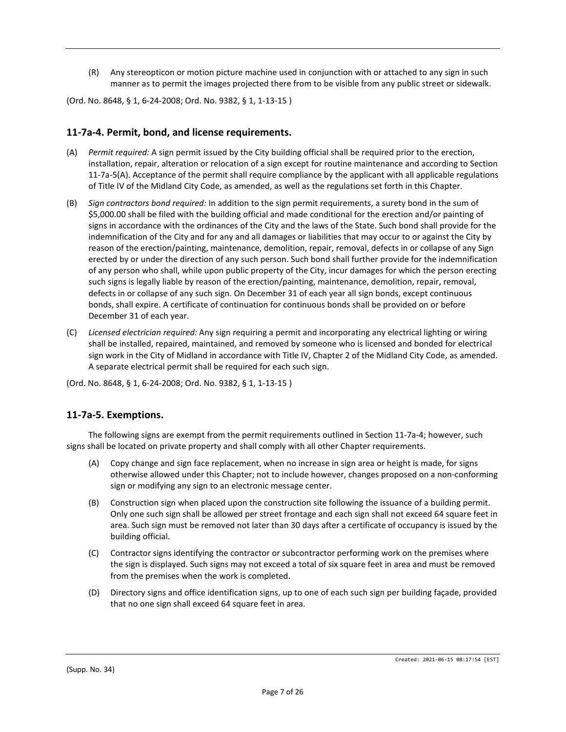(R) Any stereopticon or motion picture machine used in conjunction with or attached to any sign in such manner as to permit the images projected there from to be visible from any public street or sidewalk.

(Ord. No. 8648, § 1, 6-24-2008; Ord. No. 9382, § 1, 1-13-15 )

## **11-7a-4. Permit, bond, and license requirements.**

- (A) *Permit required:* A sign permit issued by the City building official shall be required prior to the erection, installation, repair, alteration or relocation of a sign except for routine maintenance and according to Section 11-7a-5(A). Acceptance of the permit shall require compliance by the applicant with all applicable regulations of Title IV of the Midland City Code, as amended, as well as the regulations set forth in this Chapter.
- (B) *Sign contractors bond required:* In addition to the sign permit requirements, a surety bond in the sum of \$5,000.00 shall be filed with the building official and made conditional for the erection and/or painting of signs in accordance with the ordinances of the City and the laws of the State. Such bond shall provide for the indemnification of the City and for any and all damages or liabilities that may occur to or against the City by reason of the erection/painting, maintenance, demolition, repair, removal, defects in or collapse of any Sign erected by or under the direction of any such person. Such bond shall further provide for the indemnification of any person who shall, while upon public property of the City, incur damages for which the person erecting such signs is legally liable by reason of the erection/painting, maintenance, demolition, repair, removal, defects in or collapse of any such sign. On December 31 of each year all sign bonds, except continuous bonds, shall expire. A certificate of continuation for continuous bonds shall be provided on or before December 31 of each year.
- (C) *Licensed electrician required:* Any sign requiring a permit and incorporating any electrical lighting or wiring shall be installed, repaired, maintained, and removed by someone who is licensed and bonded for electrical sign work in the City of Midland in accordance with Title IV, Chapter 2 of the Midland City Code, as amended. A separate electrical permit shall be required for each such sign.

(Ord. No. 8648, § 1, 6-24-2008; Ord. No. 9382, § 1, 1-13-15 )

#### **11-7a-5. Exemptions.**

The following signs are exempt from the permit requirements outlined in Section 11-7a-4; however, such signs shall be located on private property and shall comply with all other Chapter requirements.

- (A) Copy change and sign face replacement, when no increase in sign area or height is made, for signs otherwise allowed under this Chapter; not to include however, changes proposed on a non-conforming sign or modifying any sign to an electronic message center.
- (B) Construction sign when placed upon the construction site following the issuance of a building permit. Only one such sign shall be allowed per street frontage and each sign shall not exceed 64 square feet in area. Such sign must be removed not later than 30 days after a certificate of occupancy is issued by the building official.
- (C) Contractor signs identifying the contractor or subcontractor performing work on the premises where the sign is displayed. Such signs may not exceed a total of six square feet in area and must be removed from the premises when the work is completed.
- (D) Directory signs and office identification signs, up to one of each such sign per building façade, provided that no one sign shall exceed 64 square feet in area.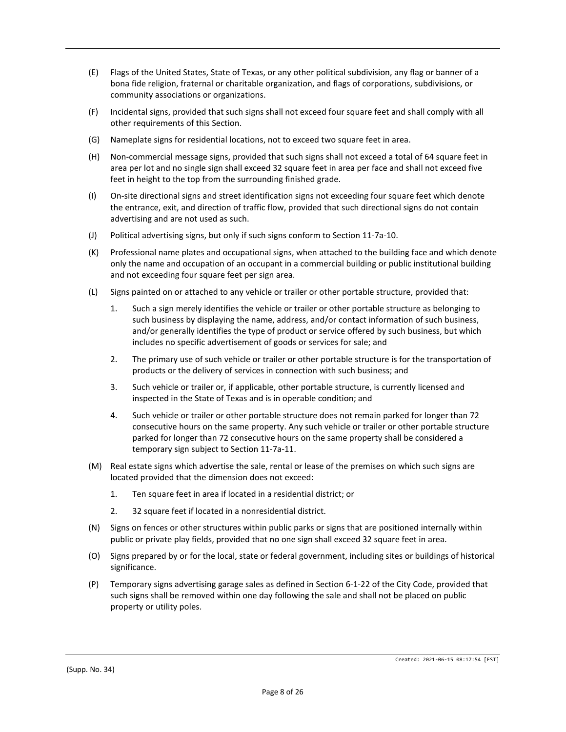- (E) Flags of the United States, State of Texas, or any other political subdivision, any flag or banner of a bona fide religion, fraternal or charitable organization, and flags of corporations, subdivisions, or community associations or organizations.
- (F) Incidental signs, provided that such signs shall not exceed four square feet and shall comply with all other requirements of this Section.
- (G) Nameplate signs for residential locations, not to exceed two square feet in area.
- (H) Non-commercial message signs, provided that such signs shall not exceed a total of 64 square feet in area per lot and no single sign shall exceed 32 square feet in area per face and shall not exceed five feet in height to the top from the surrounding finished grade.
- (I) On-site directional signs and street identification signs not exceeding four square feet which denote the entrance, exit, and direction of traffic flow, provided that such directional signs do not contain advertising and are not used as such.
- (J) Political advertising signs, but only if such signs conform to Section 11-7a-10.
- (K) Professional name plates and occupational signs, when attached to the building face and which denote only the name and occupation of an occupant in a commercial building or public institutional building and not exceeding four square feet per sign area.
- (L) Signs painted on or attached to any vehicle or trailer or other portable structure, provided that:
	- 1. Such a sign merely identifies the vehicle or trailer or other portable structure as belonging to such business by displaying the name, address, and/or contact information of such business, and/or generally identifies the type of product or service offered by such business, but which includes no specific advertisement of goods or services for sale; and
	- 2. The primary use of such vehicle or trailer or other portable structure is for the transportation of products or the delivery of services in connection with such business; and
	- 3. Such vehicle or trailer or, if applicable, other portable structure, is currently licensed and inspected in the State of Texas and is in operable condition; and
	- 4. Such vehicle or trailer or other portable structure does not remain parked for longer than 72 consecutive hours on the same property. Any such vehicle or trailer or other portable structure parked for longer than 72 consecutive hours on the same property shall be considered a temporary sign subject to Section 11-7a-11.
- (M) Real estate signs which advertise the sale, rental or lease of the premises on which such signs are located provided that the dimension does not exceed:
	- 1. Ten square feet in area if located in a residential district; or
	- 2. 32 square feet if located in a nonresidential district.
- (N) Signs on fences or other structures within public parks or signs that are positioned internally within public or private play fields, provided that no one sign shall exceed 32 square feet in area.
- (O) Signs prepared by or for the local, state or federal government, including sites or buildings of historical significance.
- (P) Temporary signs advertising garage sales as defined in Section 6-1-22 of the City Code, provided that such signs shall be removed within one day following the sale and shall not be placed on public property or utility poles.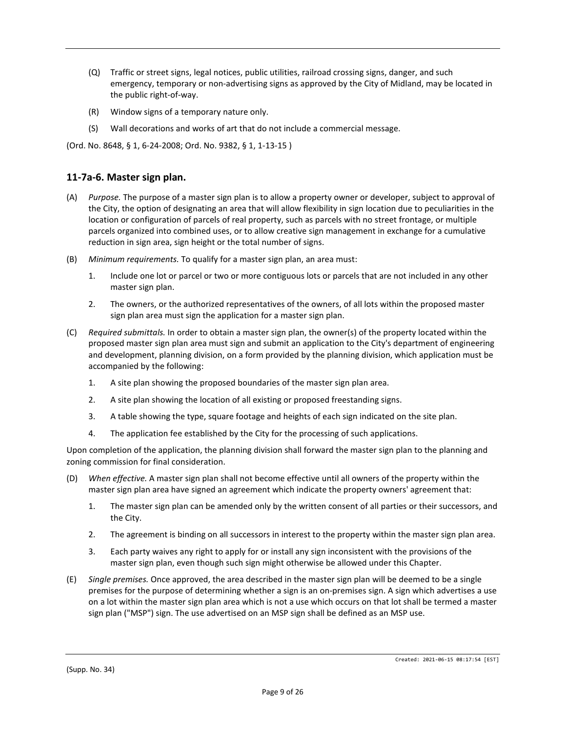- (Q) Traffic or street signs, legal notices, public utilities, railroad crossing signs, danger, and such emergency, temporary or non-advertising signs as approved by the City of Midland, may be located in the public right-of-way.
- (R) Window signs of a temporary nature only.
- (S) Wall decorations and works of art that do not include a commercial message.

(Ord. No. 8648, § 1, 6-24-2008; Ord. No. 9382, § 1, 1-13-15 )

## **11-7a-6. Master sign plan.**

- (A) *Purpose.* The purpose of a master sign plan is to allow a property owner or developer, subject to approval of the City, the option of designating an area that will allow flexibility in sign location due to peculiarities in the location or configuration of parcels of real property, such as parcels with no street frontage, or multiple parcels organized into combined uses, or to allow creative sign management in exchange for a cumulative reduction in sign area, sign height or the total number of signs.
- (B) *Minimum requirements.* To qualify for a master sign plan, an area must:
	- 1. Include one lot or parcel or two or more contiguous lots or parcels that are not included in any other master sign plan.
	- 2. The owners, or the authorized representatives of the owners, of all lots within the proposed master sign plan area must sign the application for a master sign plan.
- (C) *Required submittals.* In order to obtain a master sign plan, the owner(s) of the property located within the proposed master sign plan area must sign and submit an application to the City's department of engineering and development, planning division, on a form provided by the planning division, which application must be accompanied by the following:
	- 1. A site plan showing the proposed boundaries of the master sign plan area.
	- 2. A site plan showing the location of all existing or proposed freestanding signs.
	- 3. A table showing the type, square footage and heights of each sign indicated on the site plan.
	- 4. The application fee established by the City for the processing of such applications.

Upon completion of the application, the planning division shall forward the master sign plan to the planning and zoning commission for final consideration.

- (D) *When effective.* A master sign plan shall not become effective until all owners of the property within the master sign plan area have signed an agreement which indicate the property owners' agreement that:
	- 1. The master sign plan can be amended only by the written consent of all parties or their successors, and the City.
	- 2. The agreement is binding on all successors in interest to the property within the master sign plan area.
	- 3. Each party waives any right to apply for or install any sign inconsistent with the provisions of the master sign plan, even though such sign might otherwise be allowed under this Chapter.
- (E) *Single premises.* Once approved, the area described in the master sign plan will be deemed to be a single premises for the purpose of determining whether a sign is an on-premises sign. A sign which advertises a use on a lot within the master sign plan area which is not a use which occurs on that lot shall be termed a master sign plan ("MSP") sign. The use advertised on an MSP sign shall be defined as an MSP use.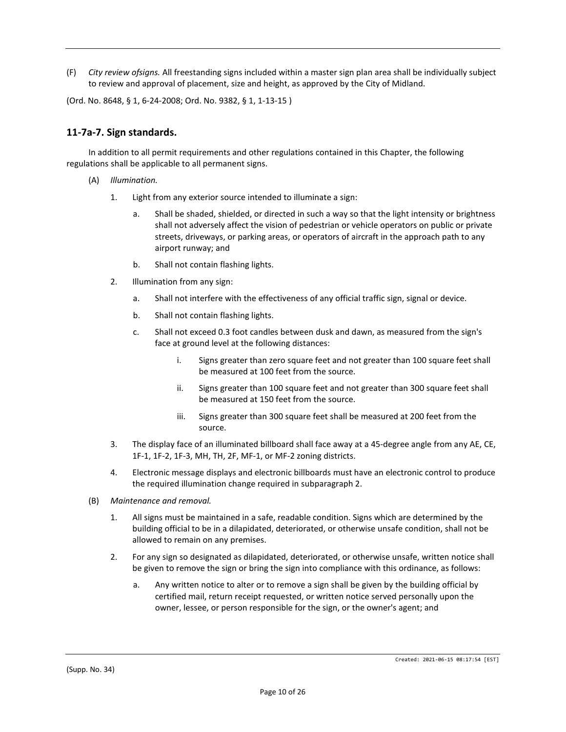(F) *City review ofsigns.* All freestanding signs included within a master sign plan area shall be individually subject to review and approval of placement, size and height, as approved by the City of Midland.

(Ord. No. 8648, § 1, 6-24-2008; Ord. No. 9382, § 1, 1-13-15 )

#### **11-7a-7. Sign standards.**

In addition to all permit requirements and other regulations contained in this Chapter, the following regulations shall be applicable to all permanent signs.

- (A) *Illumination.*
	- 1. Light from any exterior source intended to illuminate a sign:
		- a. Shall be shaded, shielded, or directed in such a way so that the light intensity or brightness shall not adversely affect the vision of pedestrian or vehicle operators on public or private streets, driveways, or parking areas, or operators of aircraft in the approach path to any airport runway; and
		- b. Shall not contain flashing lights.
	- 2. Illumination from any sign:
		- a. Shall not interfere with the effectiveness of any official traffic sign, signal or device.
		- b. Shall not contain flashing lights.
		- c. Shall not exceed 0.3 foot candles between dusk and dawn, as measured from the sign's face at ground level at the following distances:
			- i. Signs greater than zero square feet and not greater than 100 square feet shall be measured at 100 feet from the source.
			- ii. Signs greater than 100 square feet and not greater than 300 square feet shall be measured at 150 feet from the source.
			- iii. Signs greater than 300 square feet shall be measured at 200 feet from the source.
	- 3. The display face of an illuminated billboard shall face away at a 45-degree angle from any AE, CE, 1F-1, 1F-2, 1F-3, MH, TH, 2F, MF-1, or MF-2 zoning districts.
	- 4. Electronic message displays and electronic billboards must have an electronic control to produce the required illumination change required in subparagraph 2.
- (B) *Maintenance and removal.*
	- 1. All signs must be maintained in a safe, readable condition. Signs which are determined by the building official to be in a dilapidated, deteriorated, or otherwise unsafe condition, shall not be allowed to remain on any premises.
	- 2. For any sign so designated as dilapidated, deteriorated, or otherwise unsafe, written notice shall be given to remove the sign or bring the sign into compliance with this ordinance, as follows:
		- a. Any written notice to alter or to remove a sign shall be given by the building official by certified mail, return receipt requested, or written notice served personally upon the owner, lessee, or person responsible for the sign, or the owner's agent; and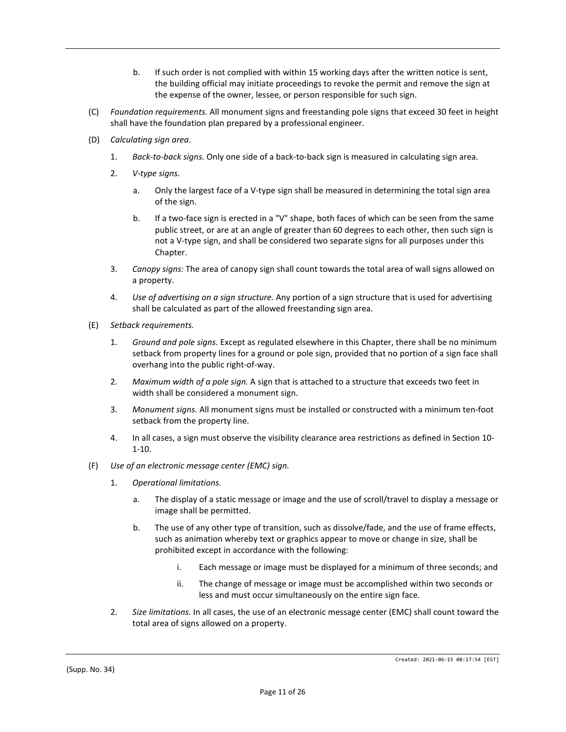- b. If such order is not complied with within 15 working days after the written notice is sent, the building official may initiate proceedings to revoke the permit and remove the sign at the expense of the owner, lessee, or person responsible for such sign.
- (C) *Foundation requirements.* All monument signs and freestanding pole signs that exceed 30 feet in height shall have the foundation plan prepared by a professional engineer.
- (D) *Calculating sign area.*
	- 1. *Back-to-back signs.* Only one side of a back-to-back sign is measured in calculating sign area.
	- 2. *V-type signs.*
		- a. Only the largest face of a V-type sign shall be measured in determining the total sign area of the sign.
		- b. If a two-face sign is erected in a "V" shape, both faces of which can be seen from the same public street, or are at an angle of greater than 60 degrees to each other, then such sign is not a V-type sign, and shall be considered two separate signs for all purposes under this Chapter.
	- 3. *Canopy signs:* The area of canopy sign shall count towards the total area of wall signs allowed on a property.
	- 4. *Use of advertising on a sign structure.* Any portion of a sign structure that is used for advertising shall be calculated as part of the allowed freestanding sign area.
- (E) *Setback requirements.*
	- 1. *Ground and pole signs.* Except as regulated elsewhere in this Chapter, there shall be no minimum setback from property lines for a ground or pole sign, provided that no portion of a sign face shall overhang into the public right-of-way.
	- 2. *Maximum width of a pole sign.* A sign that is attached to a structure that exceeds two feet in width shall be considered a monument sign.
	- 3. *Monument signs.* All monument signs must be installed or constructed with a minimum ten-foot setback from the property line.
	- 4. In all cases, a sign must observe the visibility clearance area restrictions as defined in Section 10- 1-10.
- (F) *Use of an electronic message center (EMC) sign.*
	- 1. *Operational limitations.*
		- a. The display of a static message or image and the use of scroll/travel to display a message or image shall be permitted.
		- b. The use of any other type of transition, such as dissolve/fade, and the use of frame effects, such as animation whereby text or graphics appear to move or change in size, shall be prohibited except in accordance with the following:
			- i. Each message or image must be displayed for a minimum of three seconds; and
			- ii. The change of message or image must be accomplished within two seconds or less and must occur simultaneously on the entire sign face.
	- 2. *Size limitations.* In all cases, the use of an electronic message center (EMC) shall count toward the total area of signs allowed on a property.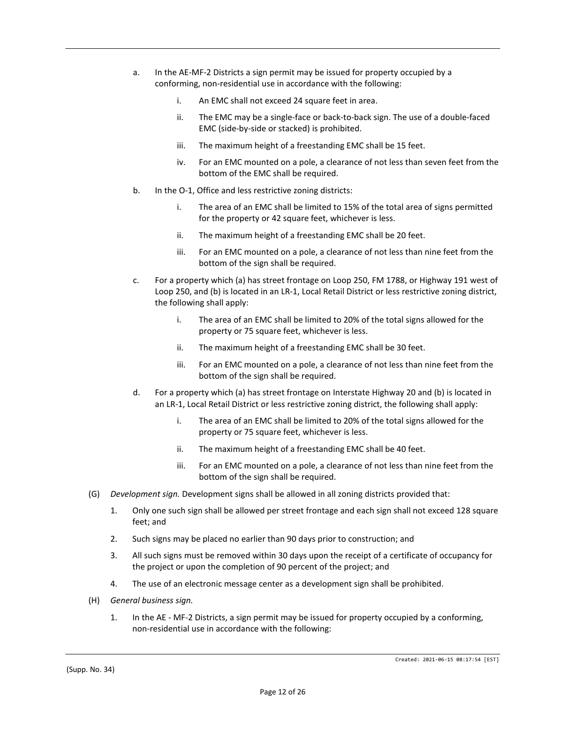- a. In the AE-MF-2 Districts a sign permit may be issued for property occupied by a conforming, non-residential use in accordance with the following:
	- i. An EMC shall not exceed 24 square feet in area.
	- ii. The EMC may be a single-face or back-to-back sign. The use of a double-faced EMC (side-by-side or stacked) is prohibited.
	- iii. The maximum height of a freestanding EMC shall be 15 feet.
	- iv. For an EMC mounted on a pole, a clearance of not less than seven feet from the bottom of the EMC shall be required.
- b. In the O-1, Office and less restrictive zoning districts:
	- i. The area of an EMC shall be limited to 15% of the total area of signs permitted for the property or 42 square feet, whichever is less.
	- ii. The maximum height of a freestanding EMC shall be 20 feet.
	- iii. For an EMC mounted on a pole, a clearance of not less than nine feet from the bottom of the sign shall be required.
- c. For a property which (a) has street frontage on Loop 250, FM 1788, or Highway 191 west of Loop 250, and (b) is located in an LR-1, Local Retail District or less restrictive zoning district, the following shall apply:
	- i. The area of an EMC shall be limited to 20% of the total signs allowed for the property or 75 square feet, whichever is less.
	- ii. The maximum height of a freestanding EMC shall be 30 feet.
	- iii. For an EMC mounted on a pole, a clearance of not less than nine feet from the bottom of the sign shall be required.
- d. For a property which (a) has street frontage on Interstate Highway 20 and (b) is located in an LR-1, Local Retail District or less restrictive zoning district, the following shall apply:
	- i. The area of an EMC shall be limited to 20% of the total signs allowed for the property or 75 square feet, whichever is less.
	- ii. The maximum height of a freestanding EMC shall be 40 feet.
	- iii. For an EMC mounted on a pole, a clearance of not less than nine feet from the bottom of the sign shall be required.
- (G) *Development sign.* Development signs shall be allowed in all zoning districts provided that:
	- 1. Only one such sign shall be allowed per street frontage and each sign shall not exceed 128 square feet; and
	- 2. Such signs may be placed no earlier than 90 days prior to construction; and
	- 3. All such signs must be removed within 30 days upon the receipt of a certificate of occupancy for the project or upon the completion of 90 percent of the project; and
	- 4. The use of an electronic message center as a development sign shall be prohibited.
- (H) *General business sign.*
	- 1. In the AE MF-2 Districts, a sign permit may be issued for property occupied by a conforming, non-residential use in accordance with the following: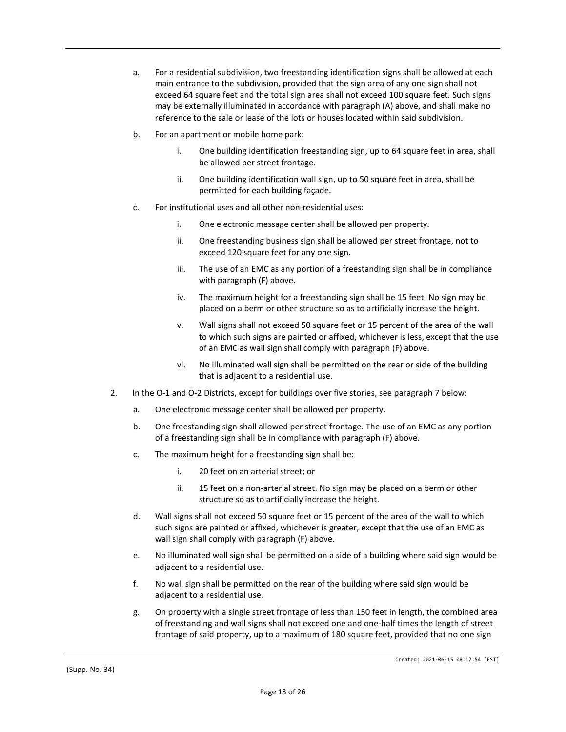- a. For a residential subdivision, two freestanding identification signs shall be allowed at each main entrance to the subdivision, provided that the sign area of any one sign shall not exceed 64 square feet and the total sign area shall not exceed 100 square feet. Such signs may be externally illuminated in accordance with paragraph (A) above, and shall make no reference to the sale or lease of the lots or houses located within said subdivision.
- b. For an apartment or mobile home park:
	- i. One building identification freestanding sign, up to 64 square feet in area, shall be allowed per street frontage.
	- ii. One building identification wall sign, up to 50 square feet in area, shall be permitted for each building façade.
- c. For institutional uses and all other non-residential uses:
	- i. One electronic message center shall be allowed per property.
	- ii. One freestanding business sign shall be allowed per street frontage, not to exceed 120 square feet for any one sign.
	- iii. The use of an EMC as any portion of a freestanding sign shall be in compliance with paragraph (F) above.
	- iv. The maximum height for a freestanding sign shall be 15 feet. No sign may be placed on a berm or other structure so as to artificially increase the height.
	- v. Wall signs shall not exceed 50 square feet or 15 percent of the area of the wall to which such signs are painted or affixed, whichever is less, except that the use of an EMC as wall sign shall comply with paragraph (F) above.
	- vi. No illuminated wall sign shall be permitted on the rear or side of the building that is adjacent to a residential use.
- 2. In the O-1 and O-2 Districts, except for buildings over five stories, see paragraph 7 below:
	- a. One electronic message center shall be allowed per property.
	- b. One freestanding sign shall allowed per street frontage. The use of an EMC as any portion of a freestanding sign shall be in compliance with paragraph (F) above.
	- c. The maximum height for a freestanding sign shall be:
		- i. 20 feet on an arterial street; or
		- ii. 15 feet on a non-arterial street. No sign may be placed on a berm or other structure so as to artificially increase the height.
	- d. Wall signs shall not exceed 50 square feet or 15 percent of the area of the wall to which such signs are painted or affixed, whichever is greater, except that the use of an EMC as wall sign shall comply with paragraph (F) above.
	- e. No illuminated wall sign shall be permitted on a side of a building where said sign would be adjacent to a residential use.
	- f. No wall sign shall be permitted on the rear of the building where said sign would be adjacent to a residential use.
	- g. On property with a single street frontage of less than 150 feet in length, the combined area of freestanding and wall signs shall not exceed one and one-half times the length of street frontage of said property, up to a maximum of 180 square feet, provided that no one sign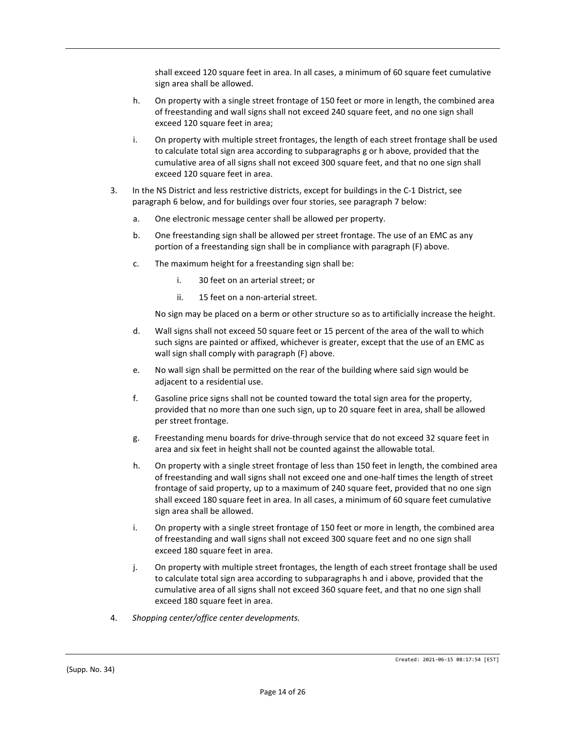shall exceed 120 square feet in area. In all cases, a minimum of 60 square feet cumulative sign area shall be allowed.

- h. On property with a single street frontage of 150 feet or more in length, the combined area of freestanding and wall signs shall not exceed 240 square feet, and no one sign shall exceed 120 square feet in area;
- i. On property with multiple street frontages, the length of each street frontage shall be used to calculate total sign area according to subparagraphs g or h above, provided that the cumulative area of all signs shall not exceed 300 square feet, and that no one sign shall exceed 120 square feet in area.
- 3. In the NS District and less restrictive districts, except for buildings in the C-1 District, see paragraph 6 below, and for buildings over four stories, see paragraph 7 below:
	- a. One electronic message center shall be allowed per property.
	- b. One freestanding sign shall be allowed per street frontage. The use of an EMC as any portion of a freestanding sign shall be in compliance with paragraph (F) above.
	- c. The maximum height for a freestanding sign shall be:
		- i. 30 feet on an arterial street; or
		- ii. 15 feet on a non-arterial street.

No sign may be placed on a berm or other structure so as to artificially increase the height.

- d. Wall signs shall not exceed 50 square feet or 15 percent of the area of the wall to which such signs are painted or affixed, whichever is greater, except that the use of an EMC as wall sign shall comply with paragraph (F) above.
- e. No wall sign shall be permitted on the rear of the building where said sign would be adjacent to a residential use.
- f. Gasoline price signs shall not be counted toward the total sign area for the property, provided that no more than one such sign, up to 20 square feet in area, shall be allowed per street frontage.
- g. Freestanding menu boards for drive-through service that do not exceed 32 square feet in area and six feet in height shall not be counted against the allowable total.
- h. On property with a single street frontage of less than 150 feet in length, the combined area of freestanding and wall signs shall not exceed one and one-half times the length of street frontage of said property, up to a maximum of 240 square feet, provided that no one sign shall exceed 180 square feet in area. In all cases, a minimum of 60 square feet cumulative sign area shall be allowed.
- i. On property with a single street frontage of 150 feet or more in length, the combined area of freestanding and wall signs shall not exceed 300 square feet and no one sign shall exceed 180 square feet in area.
- j. On property with multiple street frontages, the length of each street frontage shall be used to calculate total sign area according to subparagraphs h and i above, provided that the cumulative area of all signs shall not exceed 360 square feet, and that no one sign shall exceed 180 square feet in area.
- 4. *Shopping center/office center developments.*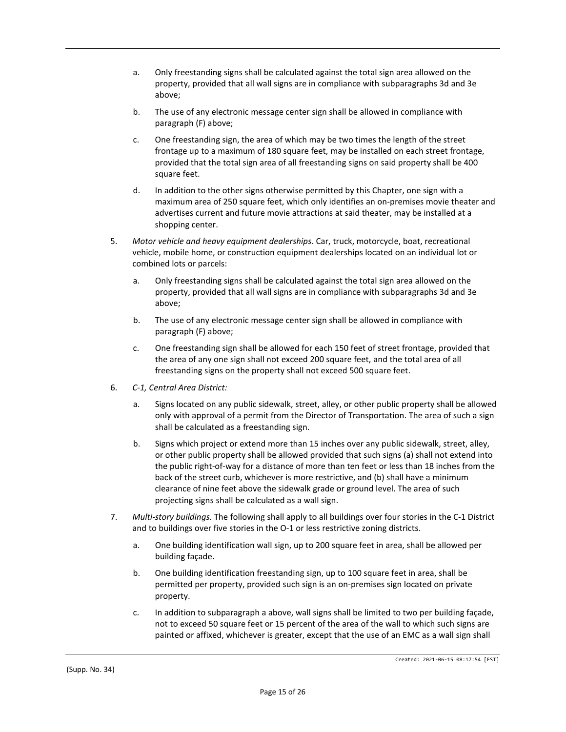- a. Only freestanding signs shall be calculated against the total sign area allowed on the property, provided that all wall signs are in compliance with subparagraphs 3d and 3e above;
- b. The use of any electronic message center sign shall be allowed in compliance with paragraph (F) above;
- c. One freestanding sign, the area of which may be two times the length of the street frontage up to a maximum of 180 square feet, may be installed on each street frontage, provided that the total sign area of all freestanding signs on said property shall be 400 square feet.
- d. In addition to the other signs otherwise permitted by this Chapter, one sign with a maximum area of 250 square feet, which only identifies an on-premises movie theater and advertises current and future movie attractions at said theater, may be installed at a shopping center.
- 5. *Motor vehicle and heavy equipment dealerships.* Car, truck, motorcycle, boat, recreational vehicle, mobile home, or construction equipment dealerships located on an individual lot or combined lots or parcels:
	- a. Only freestanding signs shall be calculated against the total sign area allowed on the property, provided that all wall signs are in compliance with subparagraphs 3d and 3e above;
	- b. The use of any electronic message center sign shall be allowed in compliance with paragraph (F) above;
	- c. One freestanding sign shall be allowed for each 150 feet of street frontage, provided that the area of any one sign shall not exceed 200 square feet, and the total area of all freestanding signs on the property shall not exceed 500 square feet.
- 6. *C-1, Central Area District:*
	- a. Signs located on any public sidewalk, street, alley, or other public property shall be allowed only with approval of a permit from the Director of Transportation. The area of such a sign shall be calculated as a freestanding sign.
	- b. Signs which project or extend more than 15 inches over any public sidewalk, street, alley, or other public property shall be allowed provided that such signs (a) shall not extend into the public right-of-way for a distance of more than ten feet or less than 18 inches from the back of the street curb, whichever is more restrictive, and (b) shall have a minimum clearance of nine feet above the sidewalk grade or ground level. The area of such projecting signs shall be calculated as a wall sign.
- 7. *Multi-story buildings.* The following shall apply to all buildings over four stories in the C-1 District and to buildings over five stories in the O-1 or less restrictive zoning districts.
	- a. One building identification wall sign, up to 200 square feet in area, shall be allowed per building façade.
	- b. One building identification freestanding sign, up to 100 square feet in area, shall be permitted per property, provided such sign is an on-premises sign located on private property.
	- c. In addition to subparagraph a above, wall signs shall be limited to two per building façade, not to exceed 50 square feet or 15 percent of the area of the wall to which such signs are painted or affixed, whichever is greater, except that the use of an EMC as a wall sign shall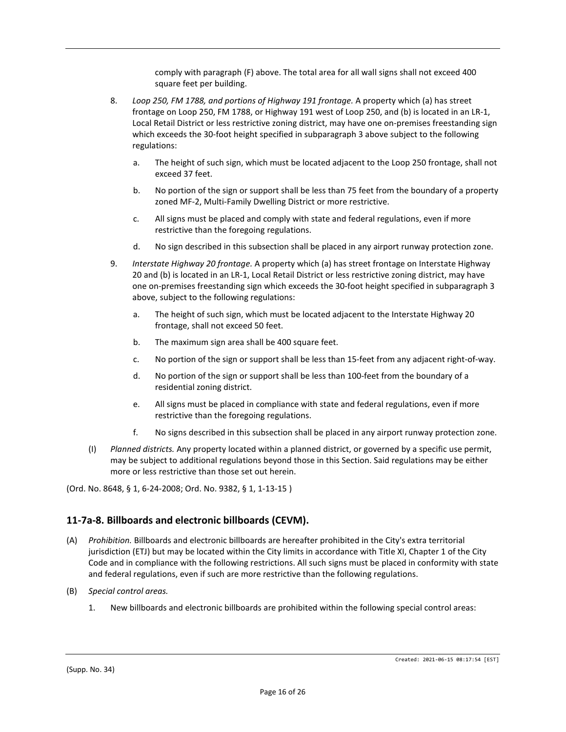comply with paragraph (F) above. The total area for all wall signs shall not exceed 400 square feet per building.

- 8. *Loop 250, FM 1788, and portions of Highway 191 frontage.* A property which (a) has street frontage on Loop 250, FM 1788, or Highway 191 west of Loop 250, and (b) is located in an LR-1, Local Retail District or less restrictive zoning district, may have one on-premises freestanding sign which exceeds the 30-foot height specified in subparagraph 3 above subject to the following regulations:
	- a. The height of such sign, which must be located adjacent to the Loop 250 frontage, shall not exceed 37 feet.
	- b. No portion of the sign or support shall be less than 75 feet from the boundary of a property zoned MF-2, Multi-Family Dwelling District or more restrictive.
	- c. All signs must be placed and comply with state and federal regulations, even if more restrictive than the foregoing regulations.
	- d. No sign described in this subsection shall be placed in any airport runway protection zone.
- 9. *Interstate Highway 20 frontage.* A property which (a) has street frontage on Interstate Highway 20 and (b) is located in an LR-1, Local Retail District or less restrictive zoning district, may have one on-premises freestanding sign which exceeds the 30-foot height specified in subparagraph 3 above, subject to the following regulations:
	- a. The height of such sign, which must be located adjacent to the Interstate Highway 20 frontage, shall not exceed 50 feet.
	- b. The maximum sign area shall be 400 square feet.
	- c. No portion of the sign or support shall be less than 15-feet from any adjacent right-of-way.
	- d. No portion of the sign or support shall be less than 100-feet from the boundary of a residential zoning district.
	- e. All signs must be placed in compliance with state and federal regulations, even if more restrictive than the foregoing regulations.
	- f. No signs described in this subsection shall be placed in any airport runway protection zone.
- (I) *Planned districts.* Any property located within a planned district, or governed by a specific use permit, may be subject to additional regulations beyond those in this Section. Said regulations may be either more or less restrictive than those set out herein.

(Ord. No. 8648, § 1, 6-24-2008; Ord. No. 9382, § 1, 1-13-15 )

# **11-7a-8. Billboards and electronic billboards (CEVM).**

- (A) *Prohibition.* Billboards and electronic billboards are hereafter prohibited in the City's extra territorial jurisdiction (ETJ) but may be located within the City limits in accordance with Title XI, Chapter 1 of the City Code and in compliance with the following restrictions. All such signs must be placed in conformity with state and federal regulations, even if such are more restrictive than the following regulations.
- (B) *Special control areas.*
	- 1. New billboards and electronic billboards are prohibited within the following special control areas: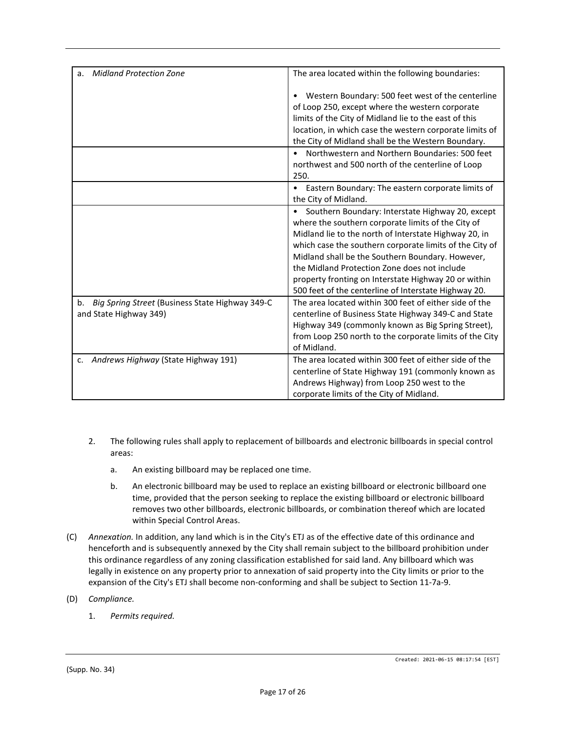| <b>Midland Protection Zone</b><br>a.                  | The area located within the following boundaries:              |
|-------------------------------------------------------|----------------------------------------------------------------|
|                                                       |                                                                |
|                                                       | Western Boundary: 500 feet west of the centerline<br>$\bullet$ |
|                                                       | of Loop 250, except where the western corporate                |
|                                                       | limits of the City of Midland lie to the east of this          |
|                                                       | location, in which case the western corporate limits of        |
|                                                       | the City of Midland shall be the Western Boundary.             |
|                                                       | Northwestern and Northern Boundaries: 500 feet<br>$\bullet$    |
|                                                       | northwest and 500 north of the centerline of Loop              |
|                                                       | 250.                                                           |
|                                                       | Eastern Boundary: The eastern corporate limits of<br>$\bullet$ |
|                                                       | the City of Midland.                                           |
|                                                       | Southern Boundary: Interstate Highway 20, except<br>$\bullet$  |
|                                                       | where the southern corporate limits of the City of             |
|                                                       | Midland lie to the north of Interstate Highway 20, in          |
|                                                       | which case the southern corporate limits of the City of        |
|                                                       | Midland shall be the Southern Boundary. However,               |
|                                                       | the Midland Protection Zone does not include                   |
|                                                       | property fronting on Interstate Highway 20 or within           |
|                                                       | 500 feet of the centerline of Interstate Highway 20.           |
| Big Spring Street (Business State Highway 349-C<br>b. | The area located within 300 feet of either side of the         |
| and State Highway 349)                                | centerline of Business State Highway 349-C and State           |
|                                                       | Highway 349 (commonly known as Big Spring Street),             |
|                                                       | from Loop 250 north to the corporate limits of the City        |
|                                                       | of Midland.                                                    |
| Andrews Highway (State Highway 191)<br>c.             | The area located within 300 feet of either side of the         |
|                                                       | centerline of State Highway 191 (commonly known as             |
|                                                       | Andrews Highway) from Loop 250 west to the                     |
|                                                       | corporate limits of the City of Midland.                       |

- 2. The following rules shall apply to replacement of billboards and electronic billboards in special control areas:
	- a. An existing billboard may be replaced one time.
	- b. An electronic billboard may be used to replace an existing billboard or electronic billboard one time, provided that the person seeking to replace the existing billboard or electronic billboard removes two other billboards, electronic billboards, or combination thereof which are located within Special Control Areas.
- (C) *Annexation.* In addition, any land which is in the City's ETJ as of the effective date of this ordinance and henceforth and is subsequently annexed by the City shall remain subject to the billboard prohibition under this ordinance regardless of any zoning classification established for said land. Any billboard which was legally in existence on any property prior to annexation of said property into the City limits or prior to the expansion of the City's ETJ shall become non-conforming and shall be subject to Section 11-7a-9.
- (D) *Compliance.*
	- 1. *Permits required.*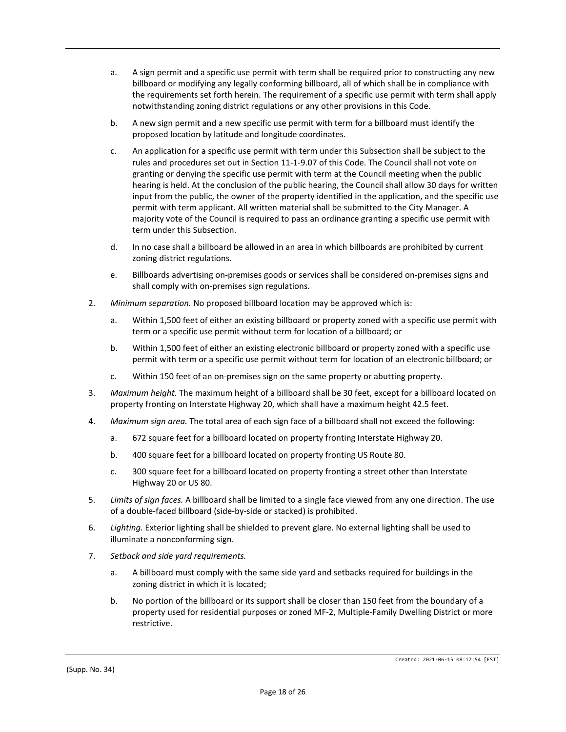- a. A sign permit and a specific use permit with term shall be required prior to constructing any new billboard or modifying any legally conforming billboard, all of which shall be in compliance with the requirements set forth herein. The requirement of a specific use permit with term shall apply notwithstanding zoning district regulations or any other provisions in this Code.
- b. A new sign permit and a new specific use permit with term for a billboard must identify the proposed location by latitude and longitude coordinates.
- c. An application for a specific use permit with term under this Subsection shall be subject to the rules and procedures set out in Section 11-1-9.07 of this Code. The Council shall not vote on granting or denying the specific use permit with term at the Council meeting when the public hearing is held. At the conclusion of the public hearing, the Council shall allow 30 days for written input from the public, the owner of the property identified in the application, and the specific use permit with term applicant. All written material shall be submitted to the City Manager. A majority vote of the Council is required to pass an ordinance granting a specific use permit with term under this Subsection.
- d. In no case shall a billboard be allowed in an area in which billboards are prohibited by current zoning district regulations.
- e. Billboards advertising on-premises goods or services shall be considered on-premises signs and shall comply with on-premises sign regulations.
- 2. *Minimum separation.* No proposed billboard location may be approved which is:
	- a. Within 1,500 feet of either an existing billboard or property zoned with a specific use permit with term or a specific use permit without term for location of a billboard; or
	- b. Within 1,500 feet of either an existing electronic billboard or property zoned with a specific use permit with term or a specific use permit without term for location of an electronic billboard; or
	- c. Within 150 feet of an on-premises sign on the same property or abutting property.
- 3. *Maximum height.* The maximum height of a billboard shall be 30 feet, except for a billboard located on property fronting on Interstate Highway 20, which shall have a maximum height 42.5 feet.
- 4. *Maximum sign area.* The total area of each sign face of a billboard shall not exceed the following:
	- a. 672 square feet for a billboard located on property fronting Interstate Highway 20.
	- b. 400 square feet for a billboard located on property fronting US Route 80.
	- c. 300 square feet for a billboard located on property fronting a street other than Interstate Highway 20 or US 80.
- 5. *Limits of sign faces.* A billboard shall be limited to a single face viewed from any one direction. The use of a double-faced billboard (side-by-side or stacked) is prohibited.
- 6. *Lighting.* Exterior lighting shall be shielded to prevent glare. No external lighting shall be used to illuminate a nonconforming sign.
- 7. *Setback and side yard requirements.*
	- a. A billboard must comply with the same side yard and setbacks required for buildings in the zoning district in which it is located;
	- b. No portion of the billboard or its support shall be closer than 150 feet from the boundary of a property used for residential purposes or zoned MF-2, Multiple-Family Dwelling District or more restrictive.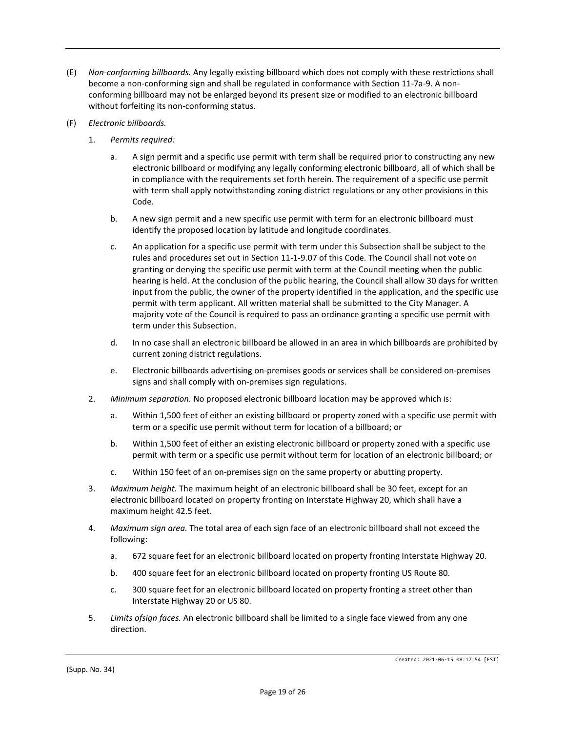- (E) *Non-conforming billboards.* Any legally existing billboard which does not comply with these restrictions shall become a non-conforming sign and shall be regulated in conformance with Section 11-7a-9. A nonconforming billboard may not be enlarged beyond its present size or modified to an electronic billboard without forfeiting its non-conforming status.
- (F) *Electronic billboards.*
	- 1. *Permits required:*
		- a. A sign permit and a specific use permit with term shall be required prior to constructing any new electronic billboard or modifying any legally conforming electronic billboard, all of which shall be in compliance with the requirements set forth herein. The requirement of a specific use permit with term shall apply notwithstanding zoning district regulations or any other provisions in this Code.
		- b. A new sign permit and a new specific use permit with term for an electronic billboard must identify the proposed location by latitude and longitude coordinates.
		- c. An application for a specific use permit with term under this Subsection shall be subject to the rules and procedures set out in Section 11-1-9.07 of this Code. The Council shall not vote on granting or denying the specific use permit with term at the Council meeting when the public hearing is held. At the conclusion of the public hearing, the Council shall allow 30 days for written input from the public, the owner of the property identified in the application, and the specific use permit with term applicant. All written material shall be submitted to the City Manager. A majority vote of the Council is required to pass an ordinance granting a specific use permit with term under this Subsection.
		- d. In no case shall an electronic billboard be allowed in an area in which billboards are prohibited by current zoning district regulations.
		- e. Electronic billboards advertising on-premises goods or services shall be considered on-premises signs and shall comply with on-premises sign regulations.
	- 2. *Minimum separation.* No proposed electronic billboard location may be approved which is:
		- a. Within 1,500 feet of either an existing billboard or property zoned with a specific use permit with term or a specific use permit without term for location of a billboard; or
		- b. Within 1,500 feet of either an existing electronic billboard or property zoned with a specific use permit with term or a specific use permit without term for location of an electronic billboard; or
		- c. Within 150 feet of an on-premises sign on the same property or abutting property.
	- 3. *Maximum height.* The maximum height of an electronic billboard shall be 30 feet, except for an electronic billboard located on property fronting on Interstate Highway 20, which shall have a maximum height 42.5 feet.
	- 4. *Maximum sign area.* The total area of each sign face of an electronic billboard shall not exceed the following:
		- a. 672 square feet for an electronic billboard located on property fronting Interstate Highway 20.
		- b. 400 square feet for an electronic billboard located on property fronting US Route 80.
		- c. 300 square feet for an electronic billboard located on property fronting a street other than Interstate Highway 20 or US 80.
	- 5. *Limits ofsign faces.* An electronic billboard shall be limited to a single face viewed from any one direction.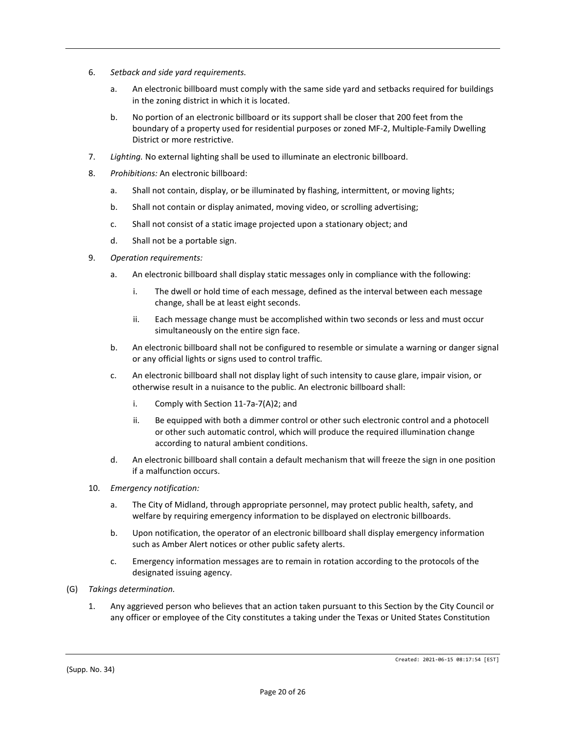- 6. *Setback and side yard requirements.*
	- a. An electronic billboard must comply with the same side yard and setbacks required for buildings in the zoning district in which it is located.
	- b. No portion of an electronic billboard or its support shall be closer that 200 feet from the boundary of a property used for residential purposes or zoned MF-2, Multiple-Family Dwelling District or more restrictive.
- 7. *Lighting.* No external lighting shall be used to illuminate an electronic billboard.
- 8. *Prohibitions:* An electronic billboard:
	- a. Shall not contain, display, or be illuminated by flashing, intermittent, or moving lights;
	- b. Shall not contain or display animated, moving video, or scrolling advertising;
	- c. Shall not consist of a static image projected upon a stationary object; and
	- d. Shall not be a portable sign.
- 9. *Operation requirements:*
	- a. An electronic billboard shall display static messages only in compliance with the following:
		- i. The dwell or hold time of each message, defined as the interval between each message change, shall be at least eight seconds.
		- ii. Each message change must be accomplished within two seconds or less and must occur simultaneously on the entire sign face.
	- b. An electronic billboard shall not be configured to resemble or simulate a warning or danger signal or any official lights or signs used to control traffic.
	- c. An electronic billboard shall not display light of such intensity to cause glare, impair vision, or otherwise result in a nuisance to the public. An electronic billboard shall:
		- i. Comply with Section 11-7a-7(A)2; and
		- ii. Be equipped with both a dimmer control or other such electronic control and a photocell or other such automatic control, which will produce the required illumination change according to natural ambient conditions.
	- d. An electronic billboard shall contain a default mechanism that will freeze the sign in one position if a malfunction occurs.
- 10. *Emergency notification:*
	- a. The City of Midland, through appropriate personnel, may protect public health, safety, and welfare by requiring emergency information to be displayed on electronic billboards.
	- b. Upon notification, the operator of an electronic billboard shall display emergency information such as Amber Alert notices or other public safety alerts.
	- c. Emergency information messages are to remain in rotation according to the protocols of the designated issuing agency.
- (G) *Takings determination.*
	- 1. Any aggrieved person who believes that an action taken pursuant to this Section by the City Council or any officer or employee of the City constitutes a taking under the Texas or United States Constitution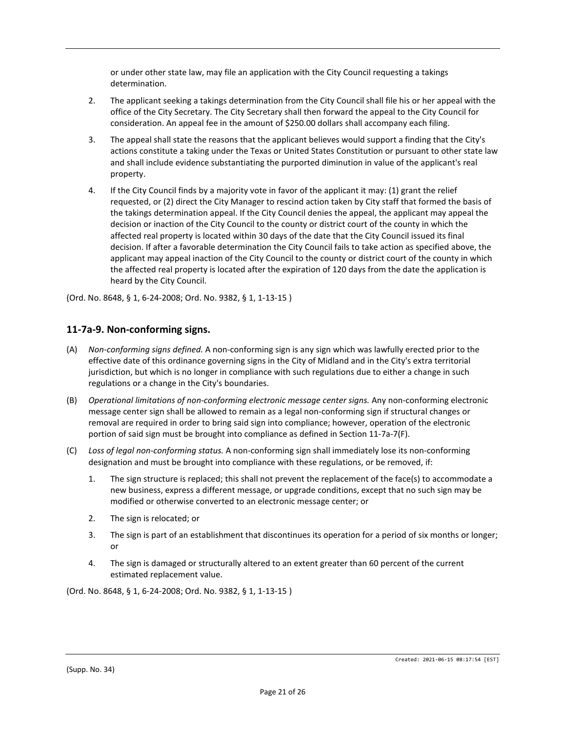or under other state law, may file an application with the City Council requesting a takings determination.

- 2. The applicant seeking a takings determination from the City Council shall file his or her appeal with the office of the City Secretary. The City Secretary shall then forward the appeal to the City Council for consideration. An appeal fee in the amount of \$250.00 dollars shall accompany each filing.
- 3. The appeal shall state the reasons that the applicant believes would support a finding that the City's actions constitute a taking under the Texas or United States Constitution or pursuant to other state law and shall include evidence substantiating the purported diminution in value of the applicant's real property.
- 4. If the City Council finds by a majority vote in favor of the applicant it may: (1) grant the relief requested, or (2) direct the City Manager to rescind action taken by City staff that formed the basis of the takings determination appeal. If the City Council denies the appeal, the applicant may appeal the decision or inaction of the City Council to the county or district court of the county in which the affected real property is located within 30 days of the date that the City Council issued its final decision. If after a favorable determination the City Council fails to take action as specified above, the applicant may appeal inaction of the City Council to the county or district court of the county in which the affected real property is located after the expiration of 120 days from the date the application is heard by the City Council.

(Ord. No. 8648, § 1, 6-24-2008; Ord. No. 9382, § 1, 1-13-15 )

## **11-7a-9. Non-conforming signs.**

- (A) *Non-conforming signs defined.* A non-conforming sign is any sign which was lawfully erected prior to the effective date of this ordinance governing signs in the City of Midland and in the City's extra territorial jurisdiction, but which is no longer in compliance with such regulations due to either a change in such regulations or a change in the City's boundaries.
- (B) *Operational limitations of non-conforming electronic message center signs.* Any non-conforming electronic message center sign shall be allowed to remain as a legal non-conforming sign if structural changes or removal are required in order to bring said sign into compliance; however, operation of the electronic portion of said sign must be brought into compliance as defined in Section 11-7a-7(F).
- (C) *Loss of legal non-conforming status.* A non-conforming sign shall immediately lose its non-conforming designation and must be brought into compliance with these regulations, or be removed, if:
	- 1. The sign structure is replaced; this shall not prevent the replacement of the face(s) to accommodate a new business, express a different message, or upgrade conditions, except that no such sign may be modified or otherwise converted to an electronic message center; or
	- 2. The sign is relocated; or
	- 3. The sign is part of an establishment that discontinues its operation for a period of six months or longer; or
	- 4. The sign is damaged or structurally altered to an extent greater than 60 percent of the current estimated replacement value.

(Ord. No. 8648, § 1, 6-24-2008; Ord. No. 9382, § 1, 1-13-15 )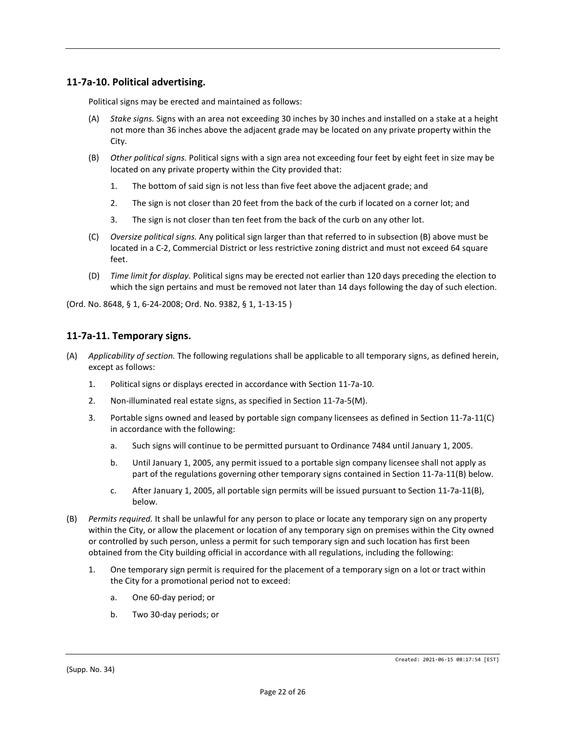## **11-7a-10. Political advertising.**

Political signs may be erected and maintained as follows:

- (A) *Stake signs.* Signs with an area not exceeding 30 inches by 30 inches and installed on a stake at a height not more than 36 inches above the adjacent grade may be located on any private property within the City.
- (B) *Other political signs.* Political signs with a sign area not exceeding four feet by eight feet in size may be located on any private property within the City provided that:
	- 1. The bottom of said sign is not less than five feet above the adjacent grade; and
	- 2. The sign is not closer than 20 feet from the back of the curb if located on a corner lot; and
	- 3. The sign is not closer than ten feet from the back of the curb on any other lot.
- (C) *Oversize political signs.* Any political sign larger than that referred to in subsection (B) above must be located in a C-2, Commercial District or less restrictive zoning district and must not exceed 64 square feet.
- (D) *Time limit for display.* Political signs may be erected not earlier than 120 days preceding the election to which the sign pertains and must be removed not later than 14 days following the day of such election.

(Ord. No. 8648, § 1, 6-24-2008; Ord. No. 9382, § 1, 1-13-15 )

#### **11-7a-11. Temporary signs.**

- (A) *Applicability of section.* The following regulations shall be applicable to all temporary signs, as defined herein, except as follows:
	- 1. Political signs or displays erected in accordance with Section 11-7a-10.
	- 2. Non-illuminated real estate signs, as specified in Section 11-7a-5(M).
	- 3. Portable signs owned and leased by portable sign company licensees as defined in Section 11-7a-11(C) in accordance with the following:
		- a. Such signs will continue to be permitted pursuant to Ordinance 7484 until January 1, 2005.
		- b. Until January 1, 2005, any permit issued to a portable sign company licensee shall not apply as part of the regulations governing other temporary signs contained in Section 11-7a-11(B) below.
		- c. After January 1, 2005, all portable sign permits will be issued pursuant to Section 11-7a-11(B), below.
- (B) *Permits required.* It shall be unlawful for any person to place or locate any temporary sign on any property within the City, or allow the placement or location of any temporary sign on premises within the City owned or controlled by such person, unless a permit for such temporary sign and such location has first been obtained from the City building official in accordance with all regulations, including the following:
	- 1. One temporary sign permit is required for the placement of a temporary sign on a lot or tract within the City for a promotional period not to exceed:
		- a. One 60-day period; or
		- b. Two 30-day periods; or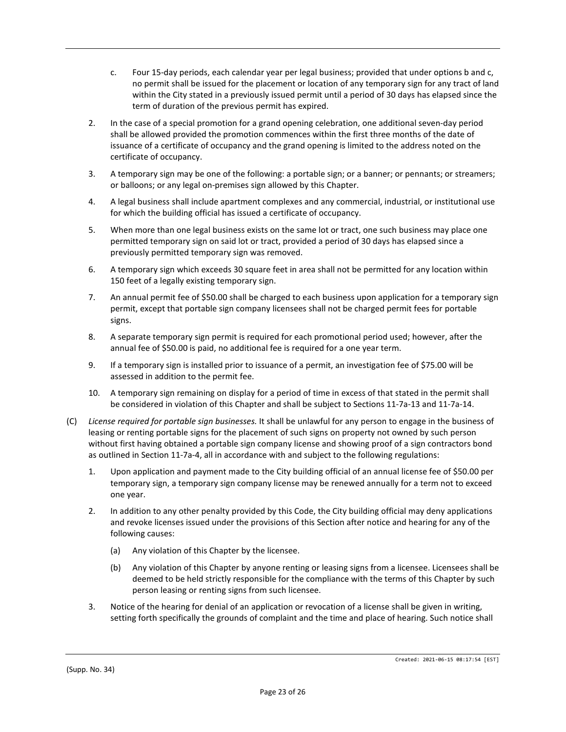- c. Four 15-day periods, each calendar year per legal business; provided that under options b and c, no permit shall be issued for the placement or location of any temporary sign for any tract of land within the City stated in a previously issued permit until a period of 30 days has elapsed since the term of duration of the previous permit has expired.
- 2. In the case of a special promotion for a grand opening celebration, one additional seven-day period shall be allowed provided the promotion commences within the first three months of the date of issuance of a certificate of occupancy and the grand opening is limited to the address noted on the certificate of occupancy.
- 3. A temporary sign may be one of the following: a portable sign; or a banner; or pennants; or streamers; or balloons; or any legal on-premises sign allowed by this Chapter.
- 4. A legal business shall include apartment complexes and any commercial, industrial, or institutional use for which the building official has issued a certificate of occupancy.
- 5. When more than one legal business exists on the same lot or tract, one such business may place one permitted temporary sign on said lot or tract, provided a period of 30 days has elapsed since a previously permitted temporary sign was removed.
- 6. A temporary sign which exceeds 30 square feet in area shall not be permitted for any location within 150 feet of a legally existing temporary sign.
- 7. An annual permit fee of \$50.00 shall be charged to each business upon application for a temporary sign permit, except that portable sign company licensees shall not be charged permit fees for portable signs.
- 8. A separate temporary sign permit is required for each promotional period used; however, after the annual fee of \$50.00 is paid, no additional fee is required for a one year term.
- 9. If a temporary sign is installed prior to issuance of a permit, an investigation fee of \$75.00 will be assessed in addition to the permit fee.
- 10. A temporary sign remaining on display for a period of time in excess of that stated in the permit shall be considered in violation of this Chapter and shall be subject to Sections 11-7a-13 and 11-7a-14.
- (C) *License required for portable sign businesses.* It shall be unlawful for any person to engage in the business of leasing or renting portable signs for the placement of such signs on property not owned by such person without first having obtained a portable sign company license and showing proof of a sign contractors bond as outlined in Section 11-7a-4, all in accordance with and subject to the following regulations:
	- 1. Upon application and payment made to the City building official of an annual license fee of \$50.00 per temporary sign, a temporary sign company license may be renewed annually for a term not to exceed one year.
	- 2. In addition to any other penalty provided by this Code, the City building official may deny applications and revoke licenses issued under the provisions of this Section after notice and hearing for any of the following causes:
		- (a) Any violation of this Chapter by the licensee.
		- (b) Any violation of this Chapter by anyone renting or leasing signs from a licensee. Licensees shall be deemed to be held strictly responsible for the compliance with the terms of this Chapter by such person leasing or renting signs from such licensee.
	- 3. Notice of the hearing for denial of an application or revocation of a license shall be given in writing, setting forth specifically the grounds of complaint and the time and place of hearing. Such notice shall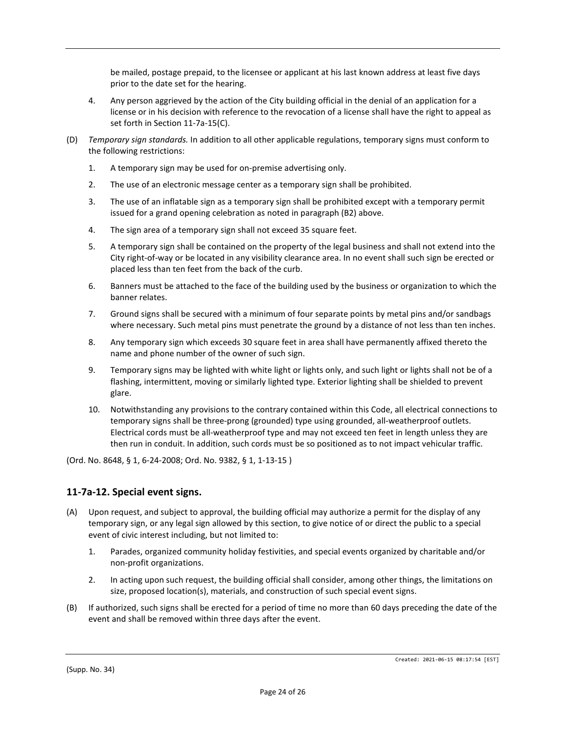be mailed, postage prepaid, to the licensee or applicant at his last known address at least five days prior to the date set for the hearing.

- 4. Any person aggrieved by the action of the City building official in the denial of an application for a license or in his decision with reference to the revocation of a license shall have the right to appeal as set forth in Section 11-7a-15(C).
- (D) *Temporary sign standards.* In addition to all other applicable regulations, temporary signs must conform to the following restrictions:
	- 1. A temporary sign may be used for on-premise advertising only.
	- 2. The use of an electronic message center as a temporary sign shall be prohibited.
	- 3. The use of an inflatable sign as a temporary sign shall be prohibited except with a temporary permit issued for a grand opening celebration as noted in paragraph (B2) above.
	- 4. The sign area of a temporary sign shall not exceed 35 square feet.
	- 5. A temporary sign shall be contained on the property of the legal business and shall not extend into the City right-of-way or be located in any visibility clearance area. In no event shall such sign be erected or placed less than ten feet from the back of the curb.
	- 6. Banners must be attached to the face of the building used by the business or organization to which the banner relates.
	- 7. Ground signs shall be secured with a minimum of four separate points by metal pins and/or sandbags where necessary. Such metal pins must penetrate the ground by a distance of not less than ten inches.
	- 8. Any temporary sign which exceeds 30 square feet in area shall have permanently affixed thereto the name and phone number of the owner of such sign.
	- 9. Temporary signs may be lighted with white light or lights only, and such light or lights shall not be of a flashing, intermittent, moving or similarly lighted type. Exterior lighting shall be shielded to prevent glare.
	- 10. Notwithstanding any provisions to the contrary contained within this Code, all electrical connections to temporary signs shall be three-prong (grounded) type using grounded, all-weatherproof outlets. Electrical cords must be all-weatherproof type and may not exceed ten feet in length unless they are then run in conduit. In addition, such cords must be so positioned as to not impact vehicular traffic.

(Ord. No. 8648, § 1, 6-24-2008; Ord. No. 9382, § 1, 1-13-15 )

# **11-7a-12. Special event signs.**

- (A) Upon request, and subject to approval, the building official may authorize a permit for the display of any temporary sign, or any legal sign allowed by this section, to give notice of or direct the public to a special event of civic interest including, but not limited to:
	- 1. Parades, organized community holiday festivities, and special events organized by charitable and/or non-profit organizations.
	- 2. In acting upon such request, the building official shall consider, among other things, the limitations on size, proposed location(s), materials, and construction of such special event signs.
- (B) If authorized, such signs shall be erected for a period of time no more than 60 days preceding the date of the event and shall be removed within three days after the event.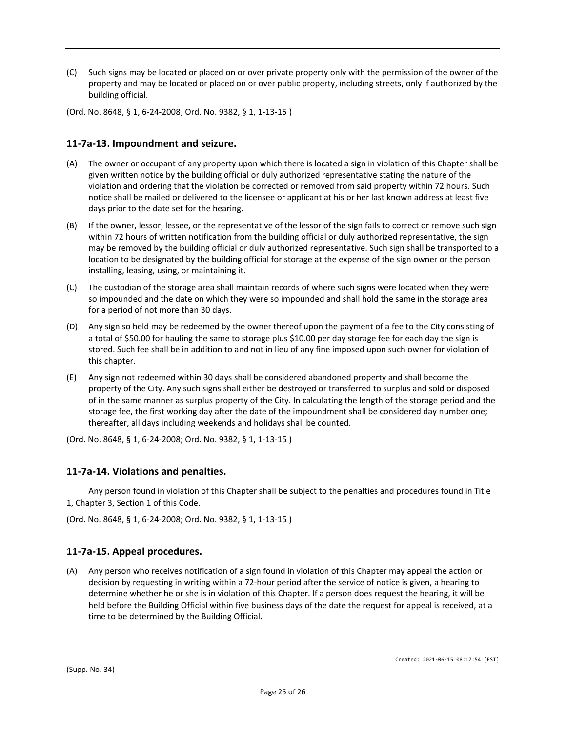- (C) Such signs may be located or placed on or over private property only with the permission of the owner of the property and may be located or placed on or over public property, including streets, only if authorized by the building official.
- (Ord. No. 8648, § 1, 6-24-2008; Ord. No. 9382, § 1, 1-13-15 )

## **11-7a-13. Impoundment and seizure.**

- (A) The owner or occupant of any property upon which there is located a sign in violation of this Chapter shall be given written notice by the building official or duly authorized representative stating the nature of the violation and ordering that the violation be corrected or removed from said property within 72 hours. Such notice shall be mailed or delivered to the licensee or applicant at his or her last known address at least five days prior to the date set for the hearing.
- (B) If the owner, lessor, lessee, or the representative of the lessor of the sign fails to correct or remove such sign within 72 hours of written notification from the building official or duly authorized representative, the sign may be removed by the building official or duly authorized representative. Such sign shall be transported to a location to be designated by the building official for storage at the expense of the sign owner or the person installing, leasing, using, or maintaining it.
- (C) The custodian of the storage area shall maintain records of where such signs were located when they were so impounded and the date on which they were so impounded and shall hold the same in the storage area for a period of not more than 30 days.
- (D) Any sign so held may be redeemed by the owner thereof upon the payment of a fee to the City consisting of a total of \$50.00 for hauling the same to storage plus \$10.00 per day storage fee for each day the sign is stored. Such fee shall be in addition to and not in lieu of any fine imposed upon such owner for violation of this chapter.
- (E) Any sign not redeemed within 30 days shall be considered abandoned property and shall become the property of the City. Any such signs shall either be destroyed or transferred to surplus and sold or disposed of in the same manner as surplus property of the City. In calculating the length of the storage period and the storage fee, the first working day after the date of the impoundment shall be considered day number one; thereafter, all days including weekends and holidays shall be counted.

(Ord. No. 8648, § 1, 6-24-2008; Ord. No. 9382, § 1, 1-13-15 )

#### **11-7a-14. Violations and penalties.**

Any person found in violation of this Chapter shall be subject to the penalties and procedures found in Title 1, Chapter 3, Section 1 of this Code.

(Ord. No. 8648, § 1, 6-24-2008; Ord. No. 9382, § 1, 1-13-15 )

# **11-7a-15. Appeal procedures.**

(A) Any person who receives notification of a sign found in violation of this Chapter may appeal the action or decision by requesting in writing within a 72-hour period after the service of notice is given, a hearing to determine whether he or she is in violation of this Chapter. If a person does request the hearing, it will be held before the Building Official within five business days of the date the request for appeal is received, at a time to be determined by the Building Official.